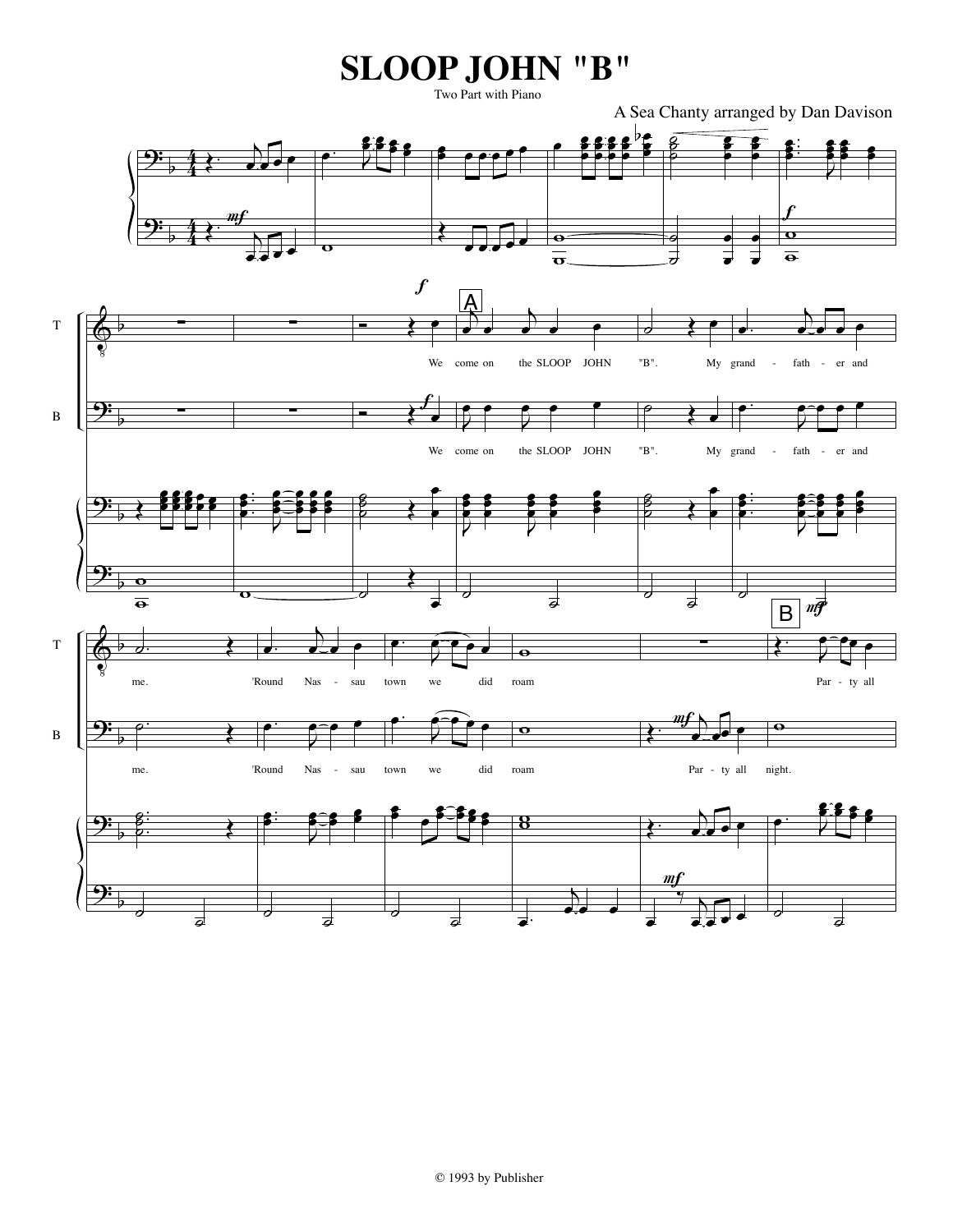## **SLOOP JOHN "B"**

Two Part with Piano

A Sea Chanty arranged by Dan Davison

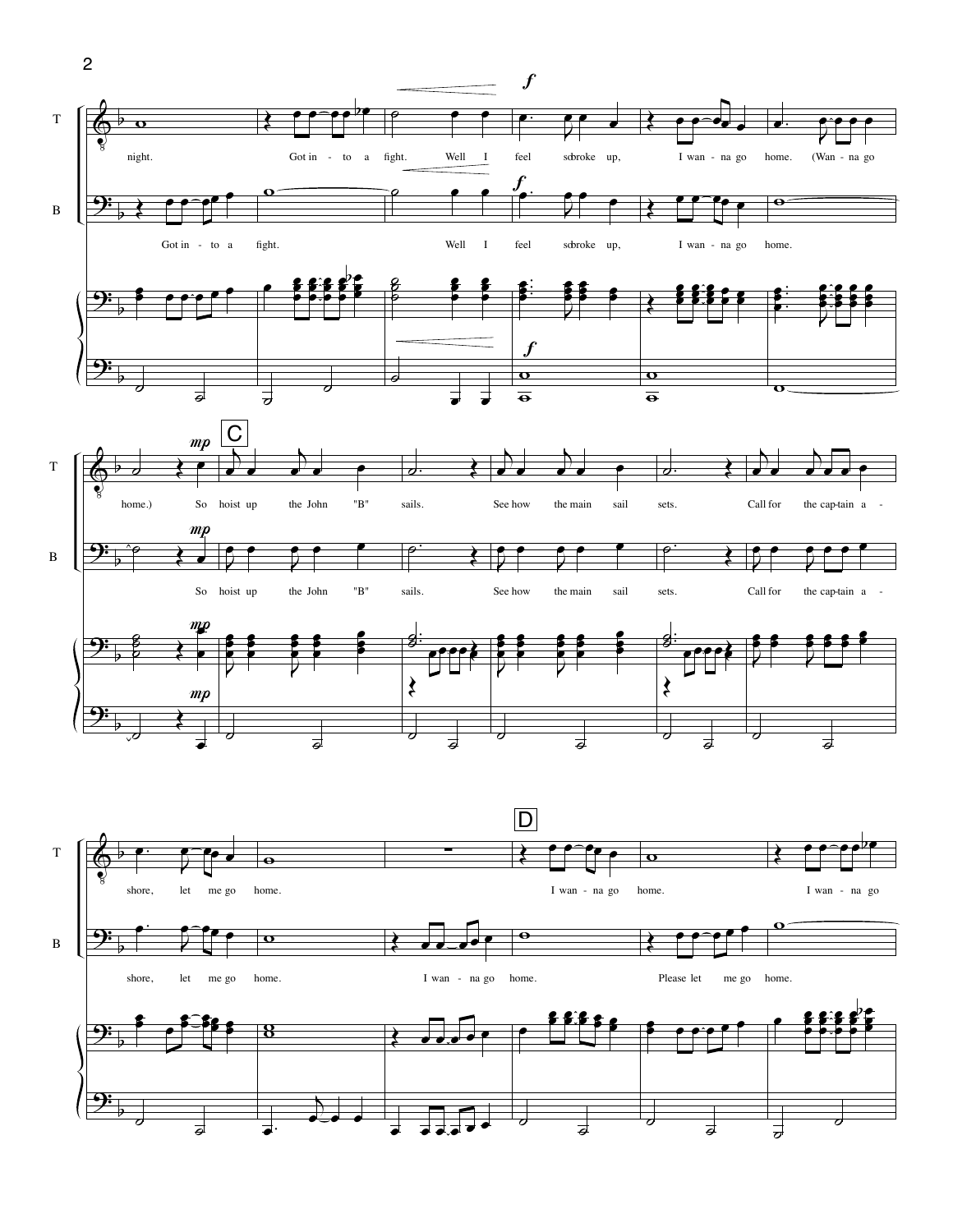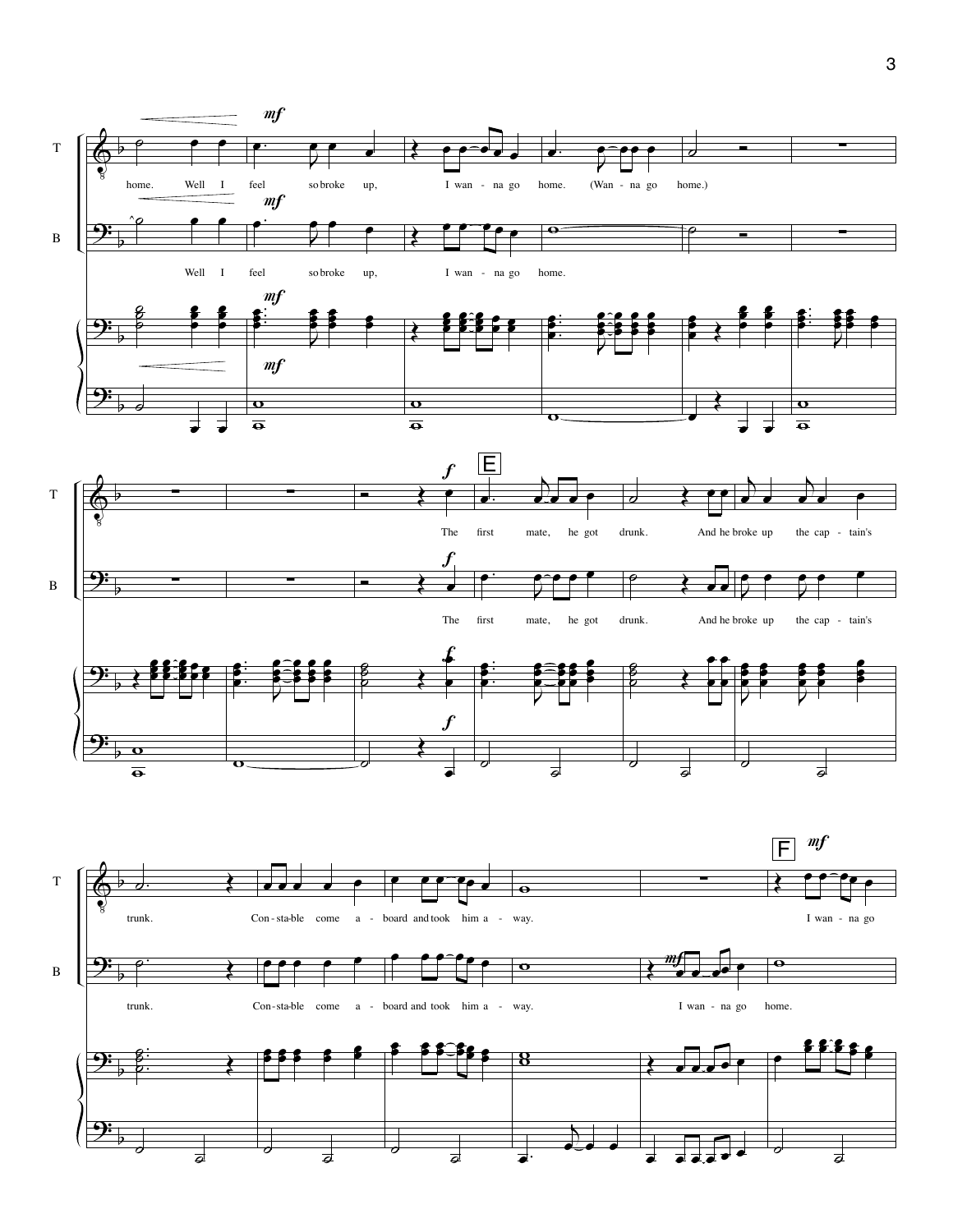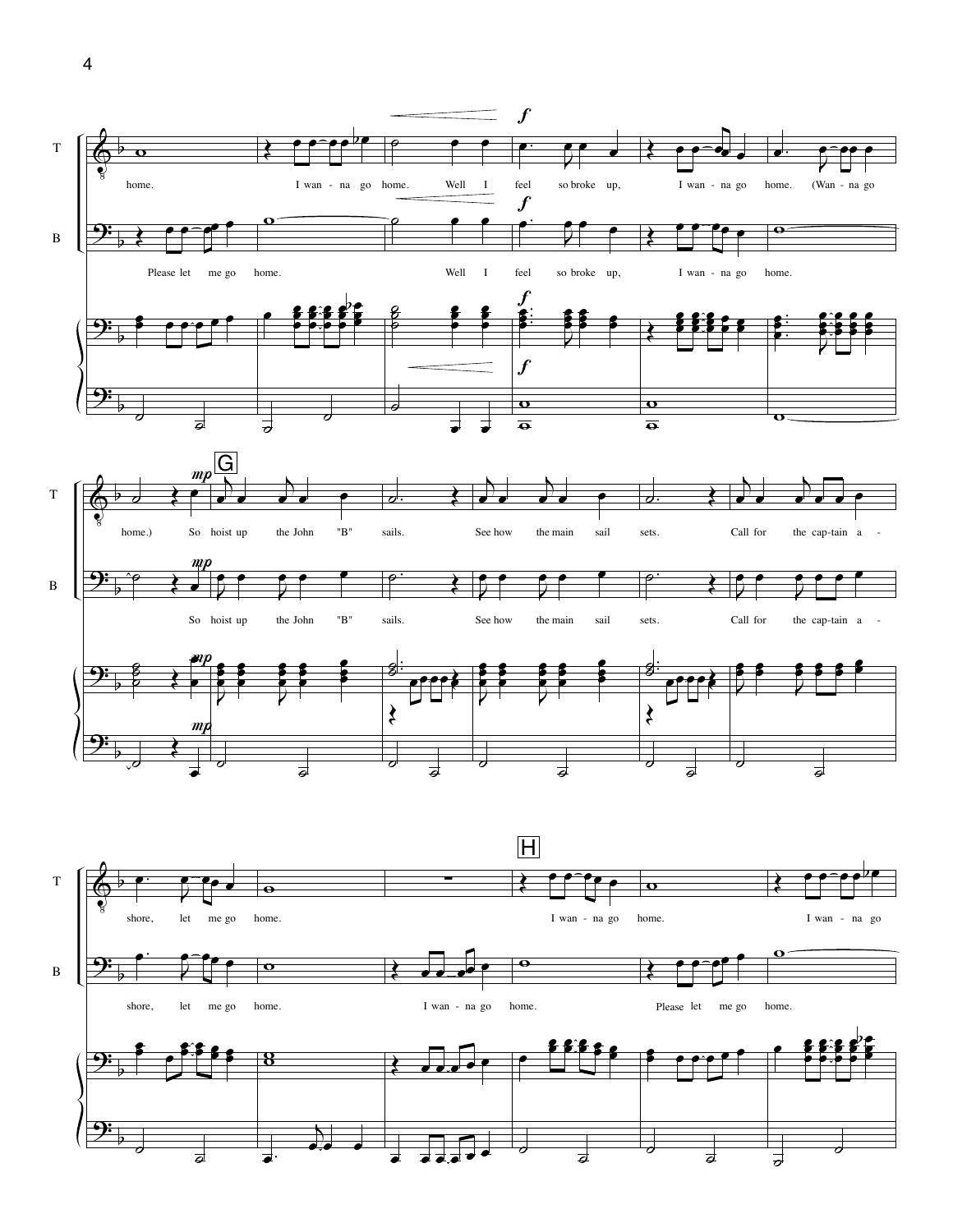



<u>9:</u>

b

 $\overline{\phantom{a}}$ 

 $\overline{a}$ 

œ.

 $\overline{\mathbf{h}}$ ...

 $e \rightarrow \overline{e} \cdot \overline{e}$ 

 $\overline{\phantom{a}}$ 

 $\overline{\boldsymbol{d}}$ 

˙

 $\overline{\phantom{a}}$ 

 $\frac{1}{\sigma}$ 

 $\overline{\phantom{a}}$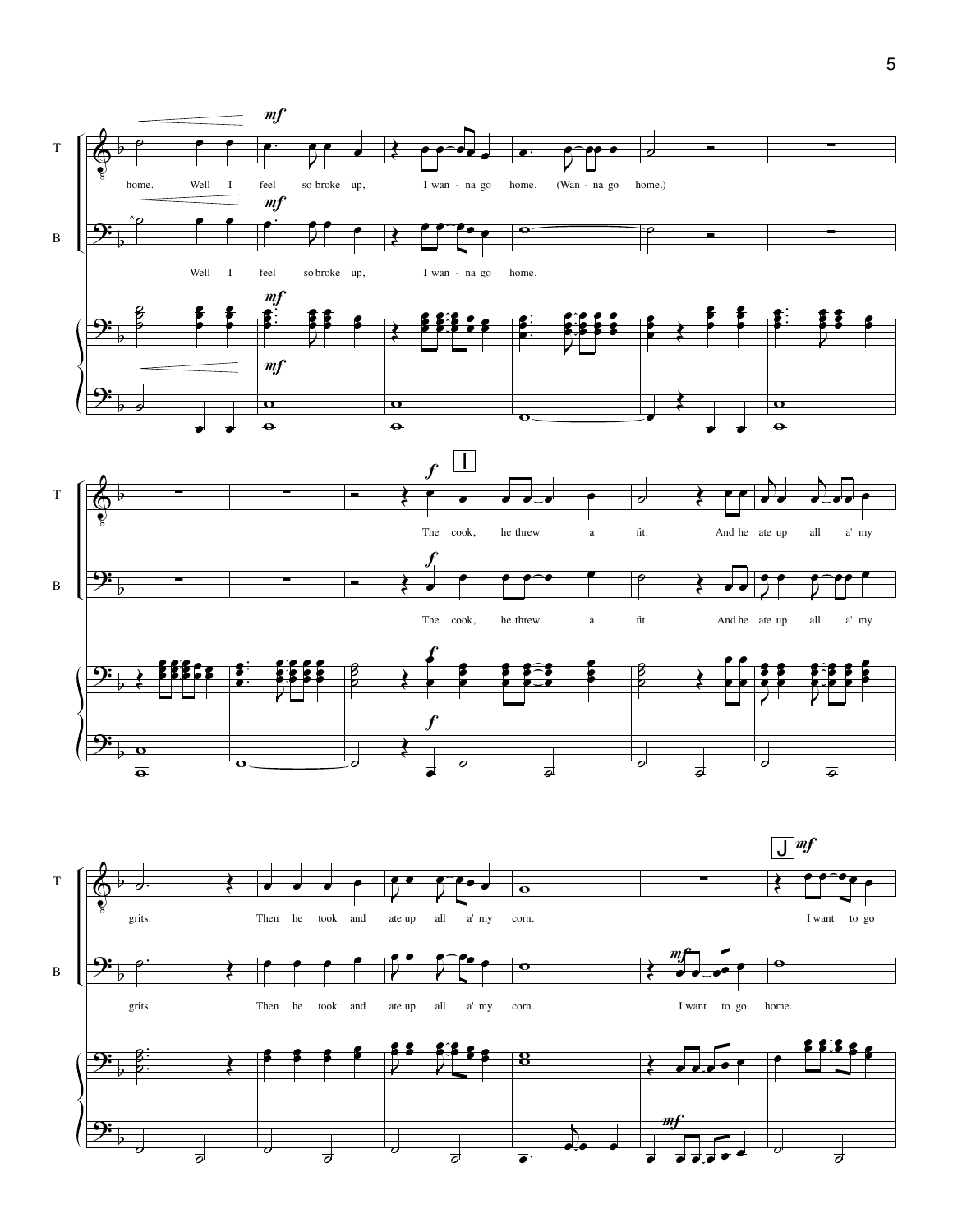

5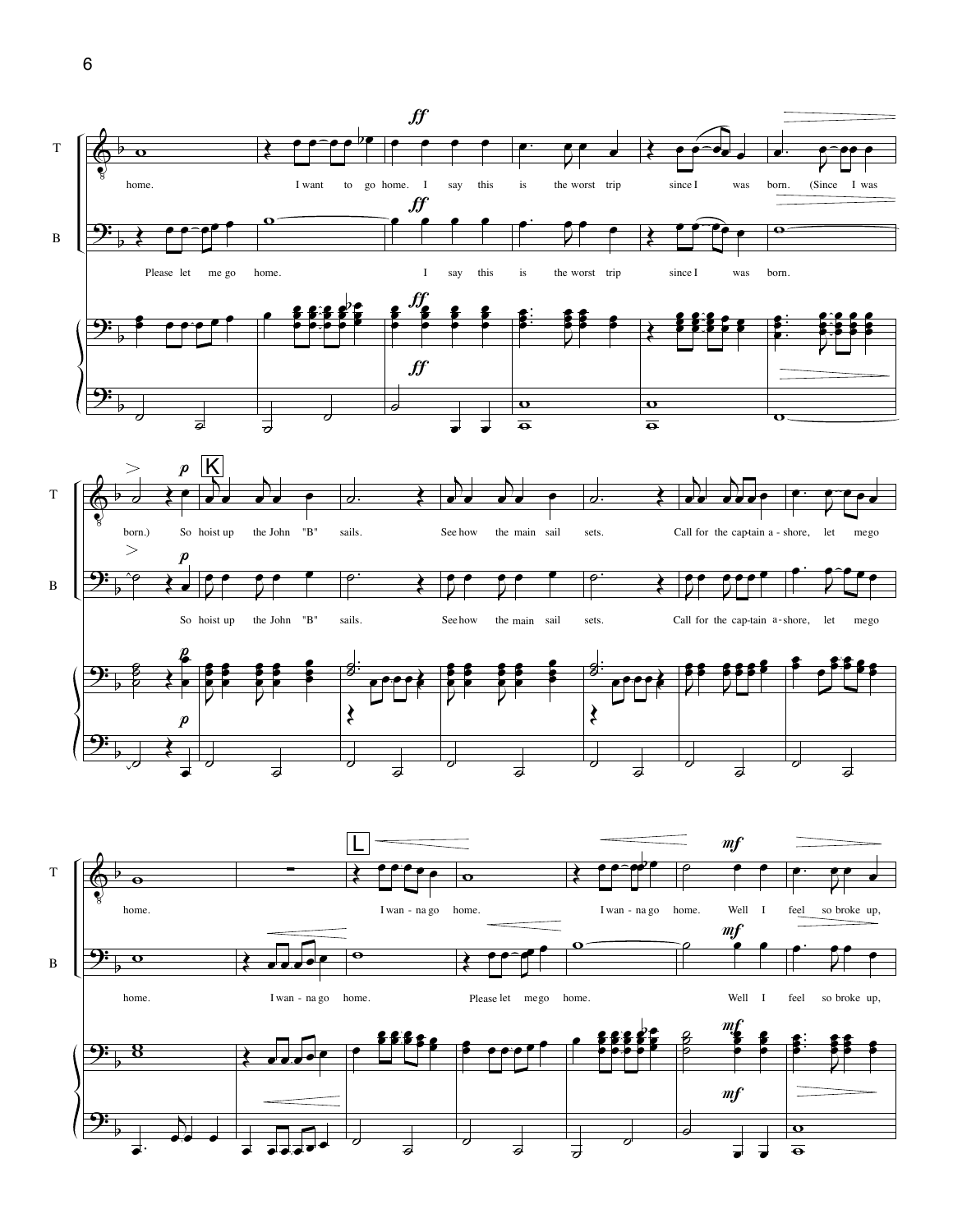

6